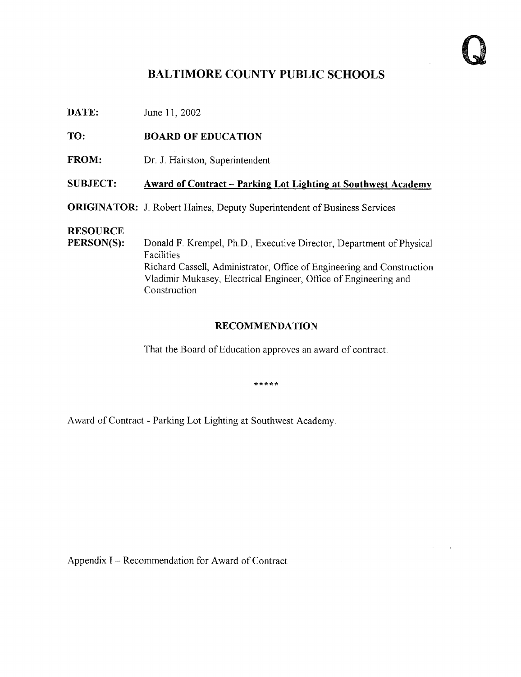$\epsilon$ 

## BALTIMORE COUNTY PUBLIC SCHOOLS

**DATE:** June 11, 2002

TO: BOARD OF EDUCATION

FROM: Dr. J. Hairston, Superintendent

#### SUBJECT: Award of Contract - Parking Lot Lighting at Southwest Academy

ORIGINATOR: J. Robert Haines, Deputy Superintendent of Business Services

# **RESOURCE**<br>PERSON(S):

Donald F. Krempel, Ph.D., Executive Director, Department of Physical Facilities Richard Cassell, Administrator, Office of Engineering and Construction Vladimir Mukasey, Electrical Engineer, Office of Engineering and Construction

#### RECOMMENDATION

That the Board of Education approves an award of contract.

\*\*\*\*\*

Award of Contract - Parking Lot Lighting at Southwest Academy.

Appendix <sup>I</sup> - Recommendation for Award of Contract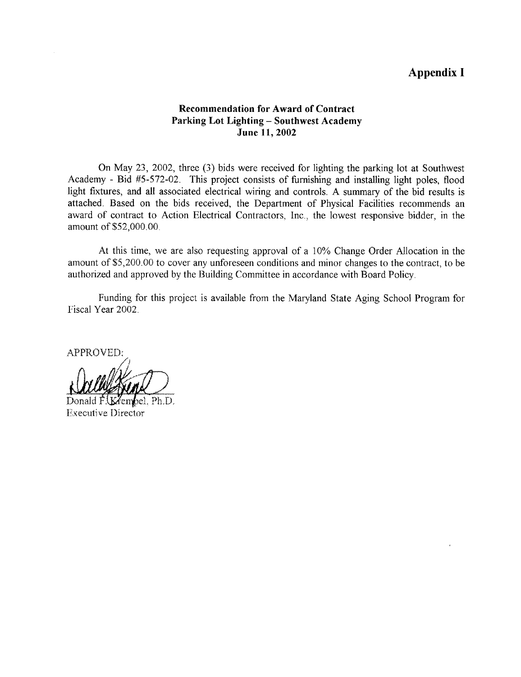### Appendix <sup>I</sup>

#### Recommendation for Award of Contract Parking Lot Lighting - Southwest Academy June 11, 2002

On May 23, 2002, three (3) bids were received for lighting the parking lot at Southwest Academy - Bid #5-572-02 . This project consists of furnishing and installing light poles, flood light fixtures, and all associated electrical wiring and controls. A summary of the bid results is attached. Based on the bids received, the Department of Physical Facilities recommends an award of contract to Action Electrical Contractors, Inc., the lowest responsive bidder, in the amount of \$52,000.00.

At this time, we are also requesting approval of <sup>a</sup> 10% Change Order Allocation in the amount of \$5,200 .00 to cover any unforeseen conditions and minor changes to the contract, to be authorized and approved by the Building Committee in accordance with Board Policy .

Funding for this project is available from the Maryland State Aging School Program for Fiscal Year 2002.

APPROVED:

 $\epsilon$  .

Donald FUKZembel. Ph.D. Executive Director